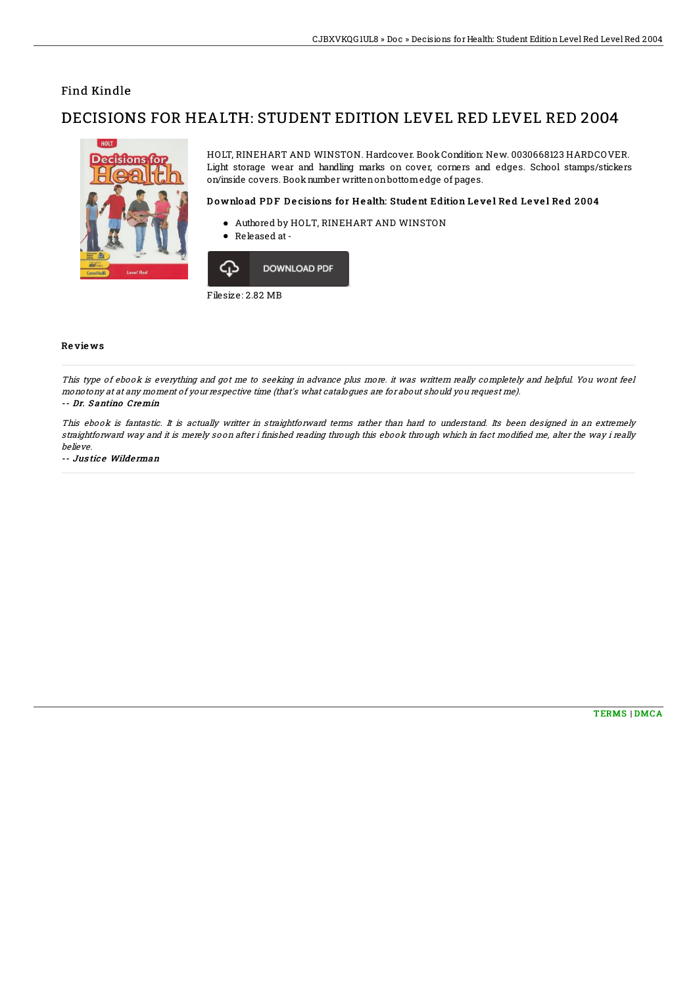## Find Kindle

# DECISIONS FOR HEALTH: STUDENT EDITION LEVEL RED LEVEL RED 2004



HOLT, RINEHART AND WINSTON. Hardcover. Book Condition: New. 0030668123 HARDCOVER. Light storage wear and handling marks on cover, corners and edges. School stamps/stickers on/inside covers. Booknumber writtenonbottomedge of pages.

### Download PDF Decisions for Health: Student Edition Level Red Level Red 2004

- Authored by HOLT, RINEHART AND WINSTON
- $\bullet$ Released at-



Filesize: 2.82 MB

#### Re vie ws

This type of ebook is everything and got me to seeking in advance plus more. it was writtern really completely and helpful. You wont feel monotony at at any moment of your respective time (that's what catalogues are for about should you request me).

#### -- Dr. Santino Cremin

This ebook is fantastic. It is actually writter in straightforward terms rather than hard to understand. Its been designed in an extremely straightforward way and it is merely soon after i finished reading through this ebook through which in fact modified me, alter the way i really believe.

-- Justice Wilderman